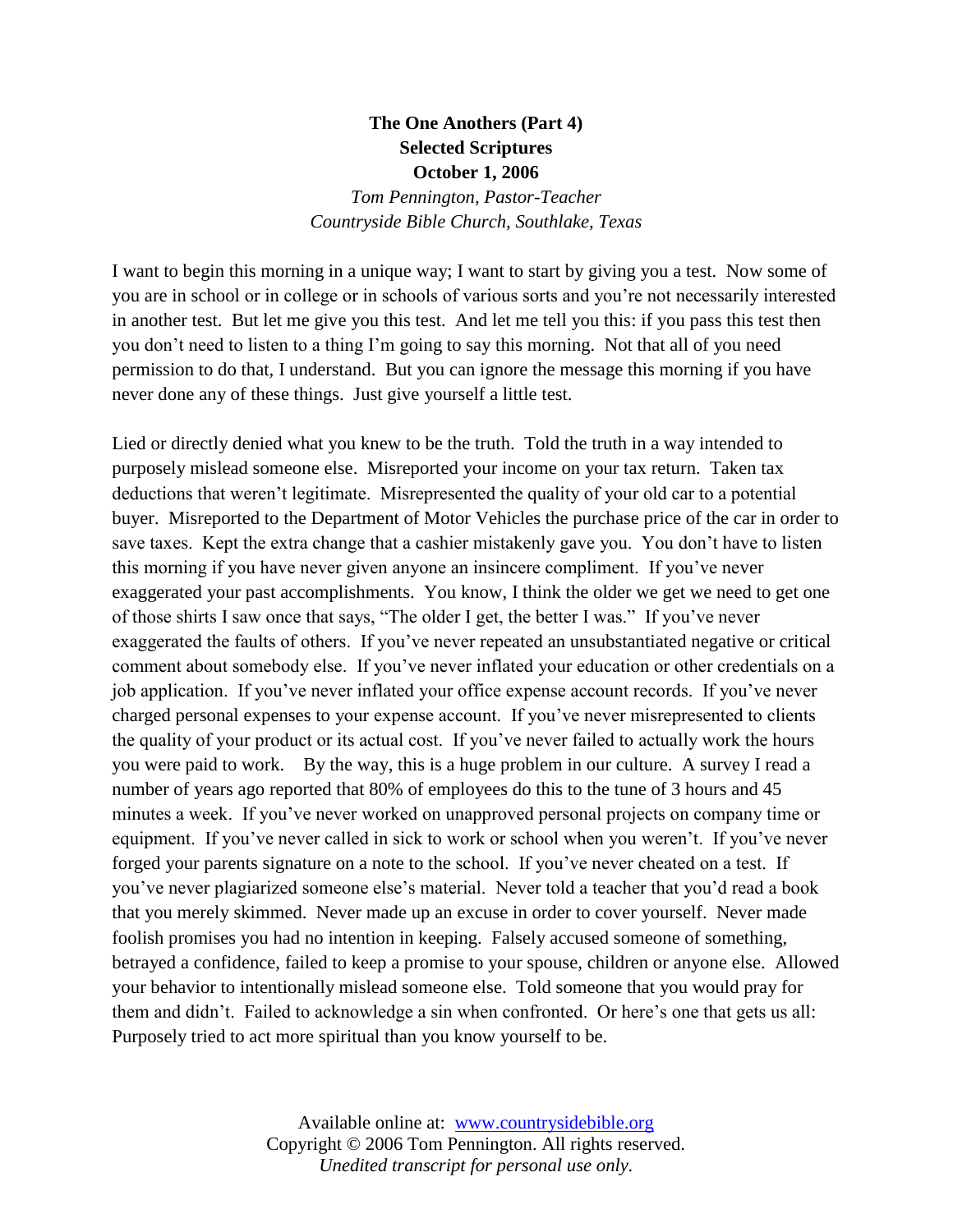## **The One Anothers (Part 4) Selected Scriptures October 1, 2006**

*Tom Pennington, Pastor-Teacher Countryside Bible Church, Southlake, Texas*

I want to begin this morning in a unique way; I want to start by giving you a test. Now some of you are in school or in college or in schools of various sorts and you're not necessarily interested in another test. But let me give you this test. And let me tell you this: if you pass this test then you don't need to listen to a thing I'm going to say this morning. Not that all of you need permission to do that, I understand. But you can ignore the message this morning if you have never done any of these things. Just give yourself a little test.

Lied or directly denied what you knew to be the truth. Told the truth in a way intended to purposely mislead someone else. Misreported your income on your tax return. Taken tax deductions that weren't legitimate. Misrepresented the quality of your old car to a potential buyer. Misreported to the Department of Motor Vehicles the purchase price of the car in order to save taxes. Kept the extra change that a cashier mistakenly gave you. You don't have to listen this morning if you have never given anyone an insincere compliment. If you've never exaggerated your past accomplishments. You know, I think the older we get we need to get one of those shirts I saw once that says, "The older I get, the better I was." If you've never exaggerated the faults of others. If you've never repeated an unsubstantiated negative or critical comment about somebody else. If you've never inflated your education or other credentials on a job application. If you've never inflated your office expense account records. If you've never charged personal expenses to your expense account. If you've never misrepresented to clients the quality of your product or its actual cost. If you've never failed to actually work the hours you were paid to work. By the way, this is a huge problem in our culture. A survey I read a number of years ago reported that 80% of employees do this to the tune of 3 hours and 45 minutes a week. If you've never worked on unapproved personal projects on company time or equipment. If you've never called in sick to work or school when you weren't. If you've never forged your parents signature on a note to the school. If you've never cheated on a test. If you've never plagiarized someone else's material. Never told a teacher that you'd read a book that you merely skimmed. Never made up an excuse in order to cover yourself. Never made foolish promises you had no intention in keeping. Falsely accused someone of something, betrayed a confidence, failed to keep a promise to your spouse, children or anyone else. Allowed your behavior to intentionally mislead someone else. Told someone that you would pray for them and didn't. Failed to acknowledge a sin when confronted. Or here's one that gets us all: Purposely tried to act more spiritual than you know yourself to be.

> Available online at: [www.countrysidebible.org](http://www.countrysidebible.org/) Copyright © 2006 Tom Pennington. All rights reserved. *Unedited transcript for personal use only.*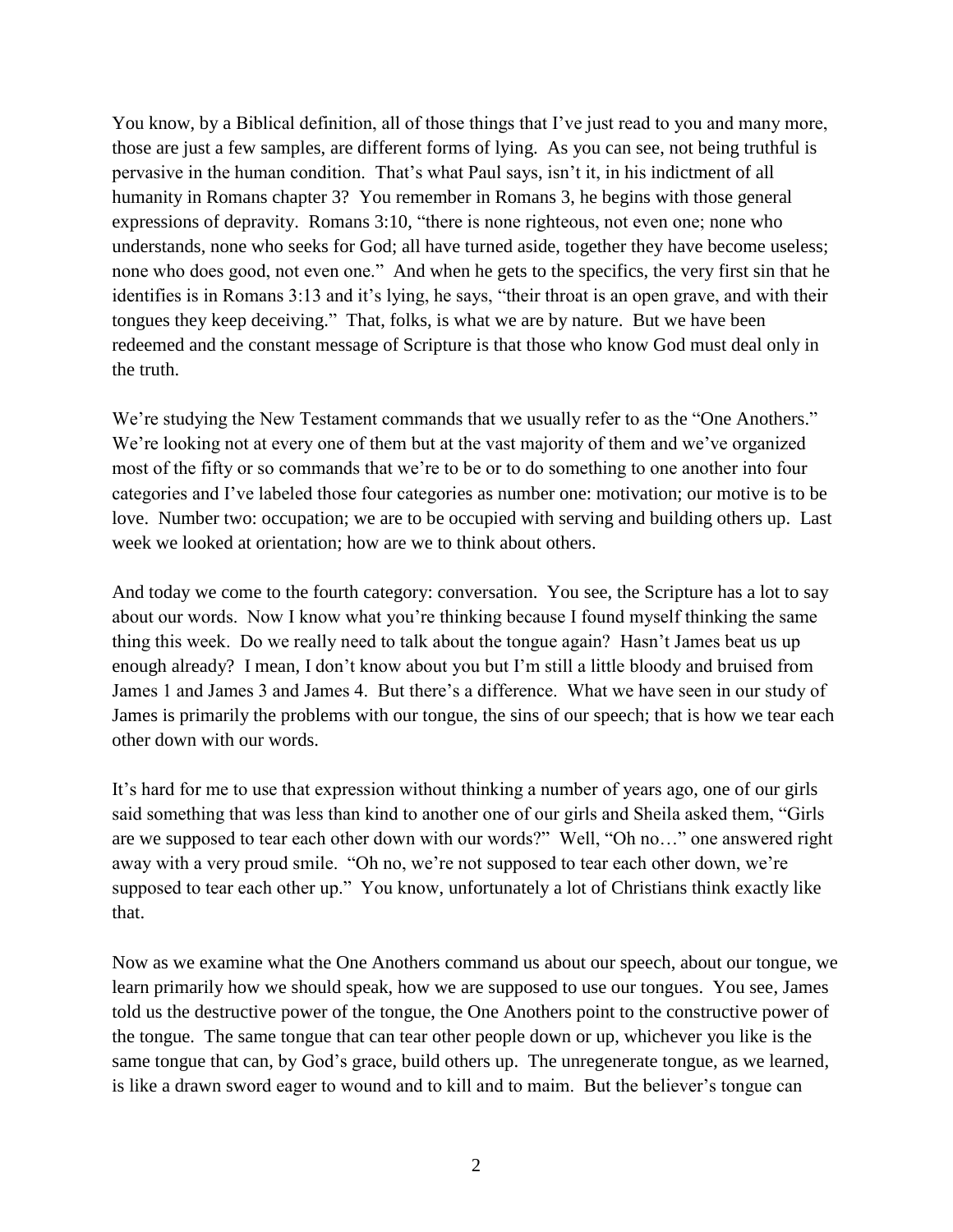You know, by a Biblical definition, all of those things that I've just read to you and many more, those are just a few samples, are different forms of lying. As you can see, not being truthful is pervasive in the human condition. That's what Paul says, isn't it, in his indictment of all humanity in Romans chapter 3? You remember in Romans 3, he begins with those general expressions of depravity. Romans 3:10, "there is none righteous, not even one; none who understands, none who seeks for God; all have turned aside, together they have become useless; none who does good, not even one." And when he gets to the specifics, the very first sin that he identifies is in Romans 3:13 and it's lying, he says, "their throat is an open grave, and with their tongues they keep deceiving." That, folks, is what we are by nature. But we have been redeemed and the constant message of Scripture is that those who know God must deal only in the truth.

We're studying the New Testament commands that we usually refer to as the "One Anothers." We're looking not at every one of them but at the vast majority of them and we've organized most of the fifty or so commands that we're to be or to do something to one another into four categories and I've labeled those four categories as number one: motivation; our motive is to be love. Number two: occupation; we are to be occupied with serving and building others up. Last week we looked at orientation; how are we to think about others.

And today we come to the fourth category: conversation. You see, the Scripture has a lot to say about our words. Now I know what you're thinking because I found myself thinking the same thing this week. Do we really need to talk about the tongue again? Hasn't James beat us up enough already? I mean, I don't know about you but I'm still a little bloody and bruised from James 1 and James 3 and James 4. But there's a difference. What we have seen in our study of James is primarily the problems with our tongue, the sins of our speech; that is how we tear each other down with our words.

It's hard for me to use that expression without thinking a number of years ago, one of our girls said something that was less than kind to another one of our girls and Sheila asked them, "Girls are we supposed to tear each other down with our words?" Well, "Oh no…" one answered right away with a very proud smile. "Oh no, we're not supposed to tear each other down, we're supposed to tear each other up." You know, unfortunately a lot of Christians think exactly like that.

Now as we examine what the One Anothers command us about our speech, about our tongue, we learn primarily how we should speak, how we are supposed to use our tongues. You see, James told us the destructive power of the tongue, the One Anothers point to the constructive power of the tongue. The same tongue that can tear other people down or up, whichever you like is the same tongue that can, by God's grace, build others up. The unregenerate tongue, as we learned, is like a drawn sword eager to wound and to kill and to maim. But the believer's tongue can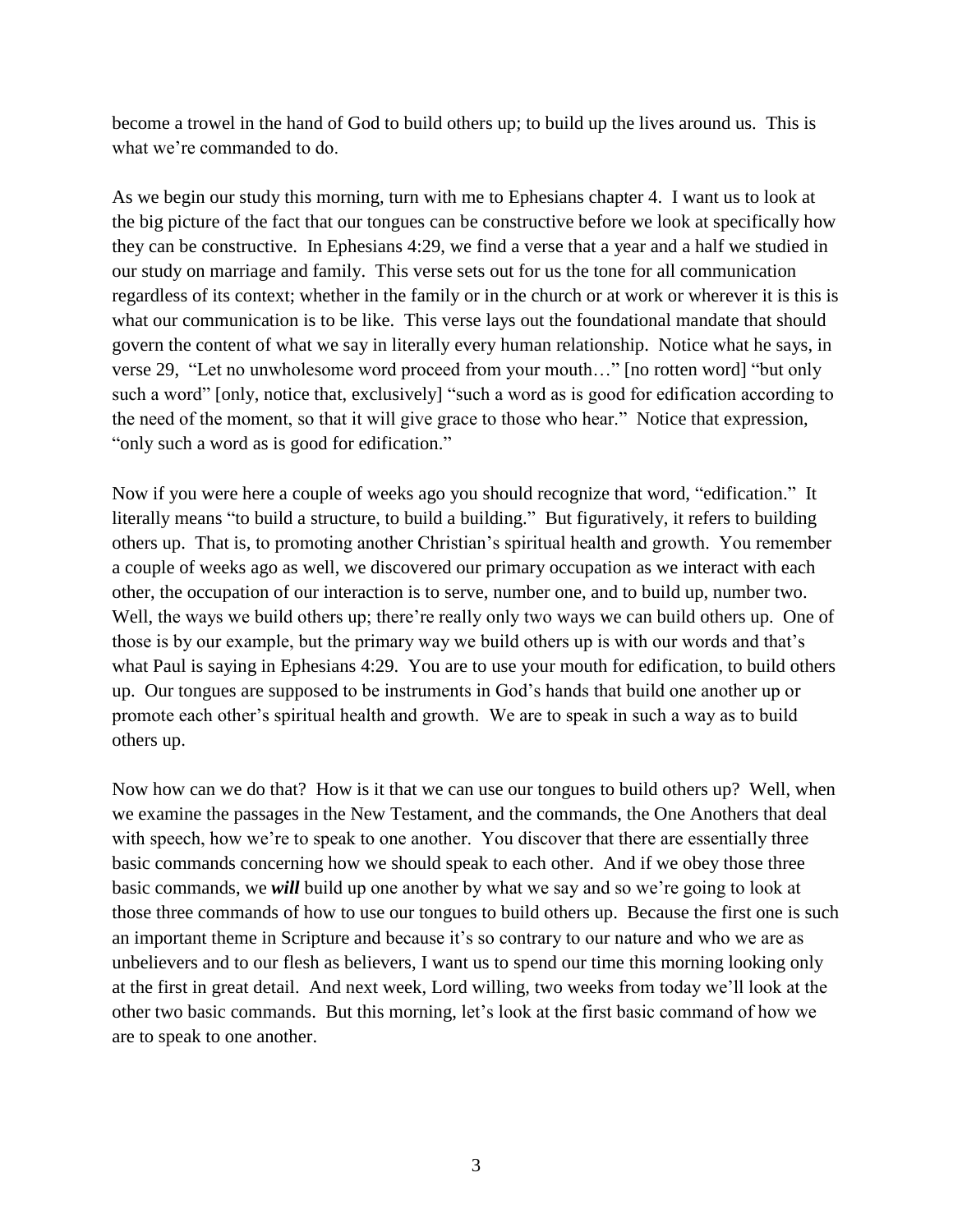become a trowel in the hand of God to build others up; to build up the lives around us. This is what we're commanded to do.

As we begin our study this morning, turn with me to Ephesians chapter 4. I want us to look at the big picture of the fact that our tongues can be constructive before we look at specifically how they can be constructive. In Ephesians 4:29, we find a verse that a year and a half we studied in our study on marriage and family. This verse sets out for us the tone for all communication regardless of its context; whether in the family or in the church or at work or wherever it is this is what our communication is to be like. This verse lays out the foundational mandate that should govern the content of what we say in literally every human relationship. Notice what he says, in verse 29, "Let no unwholesome word proceed from your mouth…" [no rotten word] "but only such a word" [only, notice that, exclusively] "such a word as is good for edification according to the need of the moment, so that it will give grace to those who hear." Notice that expression, "only such a word as is good for edification."

Now if you were here a couple of weeks ago you should recognize that word, "edification." It literally means "to build a structure, to build a building." But figuratively, it refers to building others up. That is, to promoting another Christian's spiritual health and growth. You remember a couple of weeks ago as well, we discovered our primary occupation as we interact with each other, the occupation of our interaction is to serve, number one, and to build up, number two. Well, the ways we build others up; there're really only two ways we can build others up. One of those is by our example, but the primary way we build others up is with our words and that's what Paul is saying in Ephesians 4:29. You are to use your mouth for edification, to build others up. Our tongues are supposed to be instruments in God's hands that build one another up or promote each other's spiritual health and growth. We are to speak in such a way as to build others up.

Now how can we do that? How is it that we can use our tongues to build others up? Well, when we examine the passages in the New Testament, and the commands, the One Anothers that deal with speech, how we're to speak to one another. You discover that there are essentially three basic commands concerning how we should speak to each other. And if we obey those three basic commands, we *will* build up one another by what we say and so we're going to look at those three commands of how to use our tongues to build others up. Because the first one is such an important theme in Scripture and because it's so contrary to our nature and who we are as unbelievers and to our flesh as believers, I want us to spend our time this morning looking only at the first in great detail. And next week, Lord willing, two weeks from today we'll look at the other two basic commands. But this morning, let's look at the first basic command of how we are to speak to one another.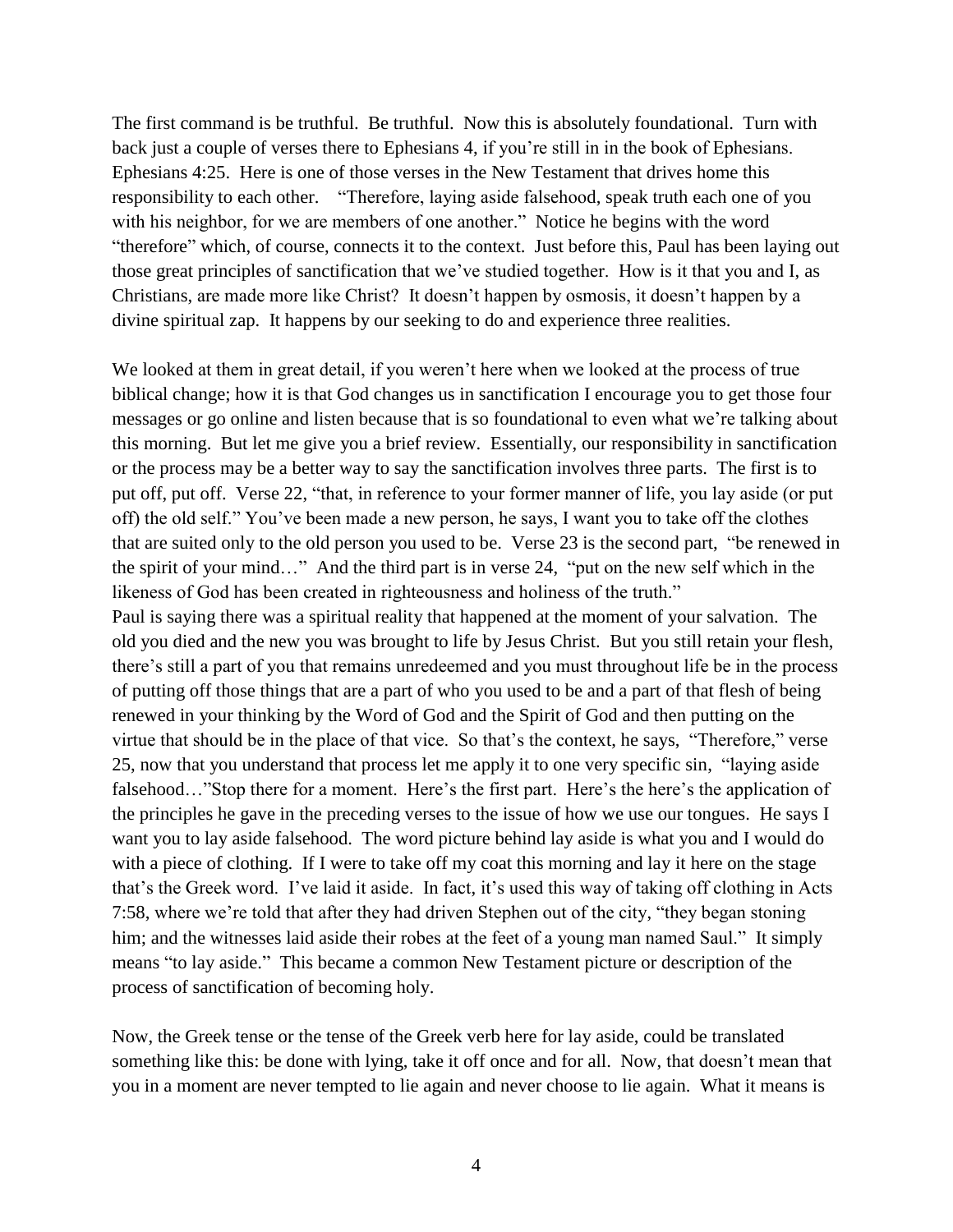The first command is be truthful. Be truthful. Now this is absolutely foundational. Turn with back just a couple of verses there to Ephesians 4, if you're still in in the book of Ephesians. Ephesians 4:25. Here is one of those verses in the New Testament that drives home this responsibility to each other. "Therefore, laying aside falsehood, speak truth each one of you with his neighbor, for we are members of one another." Notice he begins with the word "therefore" which, of course, connects it to the context. Just before this, Paul has been laying out those great principles of sanctification that we've studied together. How is it that you and I, as Christians, are made more like Christ? It doesn't happen by osmosis, it doesn't happen by a divine spiritual zap. It happens by our seeking to do and experience three realities.

We looked at them in great detail, if you weren't here when we looked at the process of true biblical change; how it is that God changes us in sanctification I encourage you to get those four messages or go online and listen because that is so foundational to even what we're talking about this morning. But let me give you a brief review. Essentially, our responsibility in sanctification or the process may be a better way to say the sanctification involves three parts. The first is to put off, put off. Verse 22, "that, in reference to your former manner of life, you lay aside (or put off) the old self." You've been made a new person, he says, I want you to take off the clothes that are suited only to the old person you used to be. Verse 23 is the second part, "be renewed in the spirit of your mind…" And the third part is in verse 24, "put on the new self which in the likeness of God has been created in righteousness and holiness of the truth." Paul is saying there was a spiritual reality that happened at the moment of your salvation. The old you died and the new you was brought to life by Jesus Christ. But you still retain your flesh, there's still a part of you that remains unredeemed and you must throughout life be in the process of putting off those things that are a part of who you used to be and a part of that flesh of being renewed in your thinking by the Word of God and the Spirit of God and then putting on the virtue that should be in the place of that vice. So that's the context, he says, "Therefore," verse 25, now that you understand that process let me apply it to one very specific sin, "laying aside falsehood…"Stop there for a moment. Here's the first part. Here's the here's the application of the principles he gave in the preceding verses to the issue of how we use our tongues. He says I want you to lay aside falsehood. The word picture behind lay aside is what you and I would do with a piece of clothing. If I were to take off my coat this morning and lay it here on the stage that's the Greek word. I've laid it aside. In fact, it's used this way of taking off clothing in Acts 7:58, where we're told that after they had driven Stephen out of the city, "they began stoning him; and the witnesses laid aside their robes at the feet of a young man named Saul." It simply means "to lay aside." This became a common New Testament picture or description of the process of sanctification of becoming holy.

Now, the Greek tense or the tense of the Greek verb here for lay aside, could be translated something like this: be done with lying, take it off once and for all. Now, that doesn't mean that you in a moment are never tempted to lie again and never choose to lie again. What it means is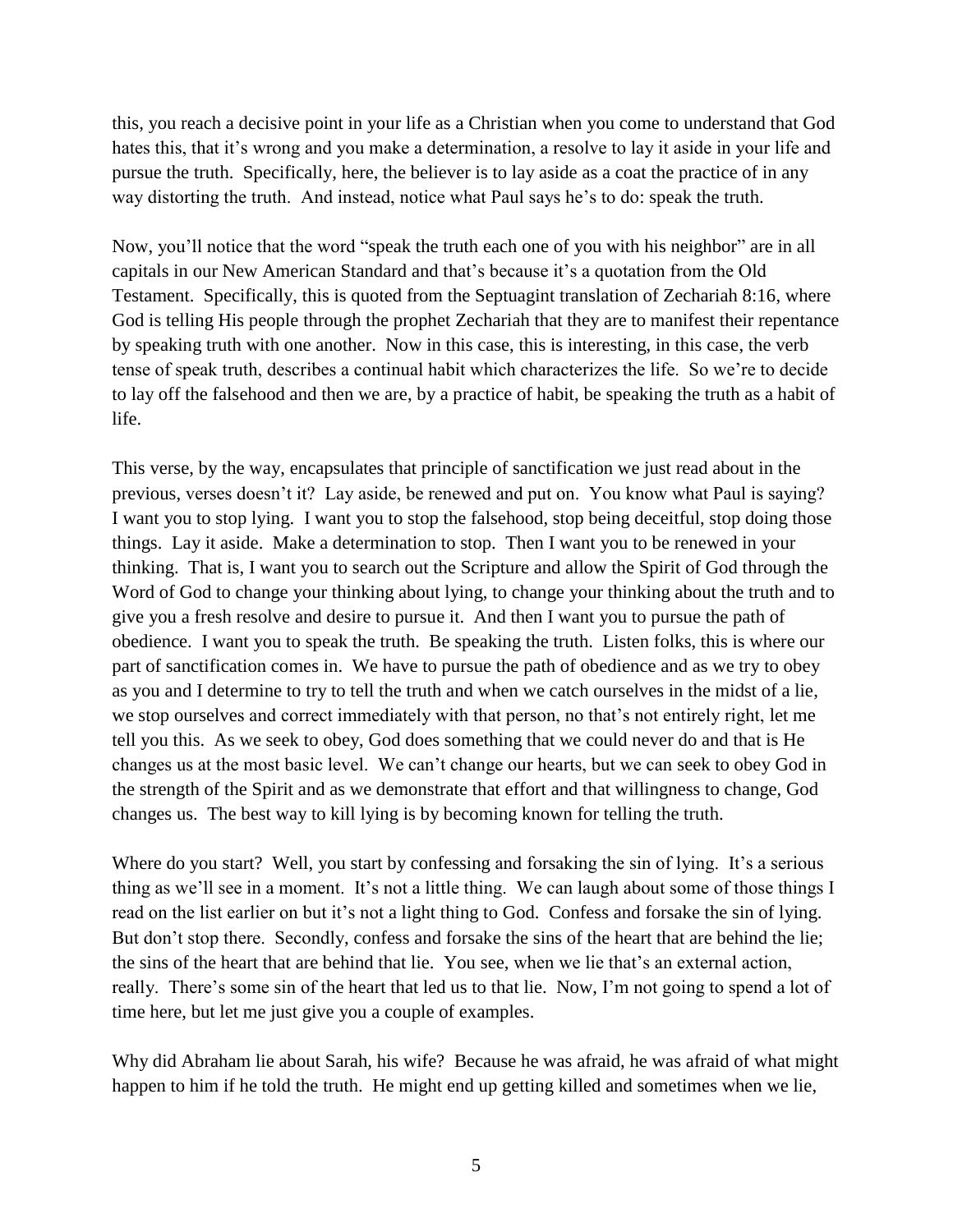this, you reach a decisive point in your life as a Christian when you come to understand that God hates this, that it's wrong and you make a determination, a resolve to lay it aside in your life and pursue the truth. Specifically, here, the believer is to lay aside as a coat the practice of in any way distorting the truth. And instead, notice what Paul says he's to do: speak the truth.

Now, you'll notice that the word "speak the truth each one of you with his neighbor" are in all capitals in our New American Standard and that's because it's a quotation from the Old Testament. Specifically, this is quoted from the Septuagint translation of Zechariah 8:16, where God is telling His people through the prophet Zechariah that they are to manifest their repentance by speaking truth with one another. Now in this case, this is interesting, in this case, the verb tense of speak truth, describes a continual habit which characterizes the life. So we're to decide to lay off the falsehood and then we are, by a practice of habit, be speaking the truth as a habit of life.

This verse, by the way, encapsulates that principle of sanctification we just read about in the previous, verses doesn't it? Lay aside, be renewed and put on. You know what Paul is saying? I want you to stop lying. I want you to stop the falsehood, stop being deceitful, stop doing those things. Lay it aside. Make a determination to stop. Then I want you to be renewed in your thinking. That is, I want you to search out the Scripture and allow the Spirit of God through the Word of God to change your thinking about lying, to change your thinking about the truth and to give you a fresh resolve and desire to pursue it. And then I want you to pursue the path of obedience. I want you to speak the truth. Be speaking the truth. Listen folks, this is where our part of sanctification comes in. We have to pursue the path of obedience and as we try to obey as you and I determine to try to tell the truth and when we catch ourselves in the midst of a lie, we stop ourselves and correct immediately with that person, no that's not entirely right, let me tell you this. As we seek to obey, God does something that we could never do and that is He changes us at the most basic level. We can't change our hearts, but we can seek to obey God in the strength of the Spirit and as we demonstrate that effort and that willingness to change, God changes us. The best way to kill lying is by becoming known for telling the truth.

Where do you start? Well, you start by confessing and forsaking the sin of lying. It's a serious thing as we'll see in a moment. It's not a little thing. We can laugh about some of those things I read on the list earlier on but it's not a light thing to God. Confess and forsake the sin of lying. But don't stop there. Secondly, confess and forsake the sins of the heart that are behind the lie; the sins of the heart that are behind that lie. You see, when we lie that's an external action, really. There's some sin of the heart that led us to that lie. Now, I'm not going to spend a lot of time here, but let me just give you a couple of examples.

Why did Abraham lie about Sarah, his wife? Because he was afraid, he was afraid of what might happen to him if he told the truth. He might end up getting killed and sometimes when we lie,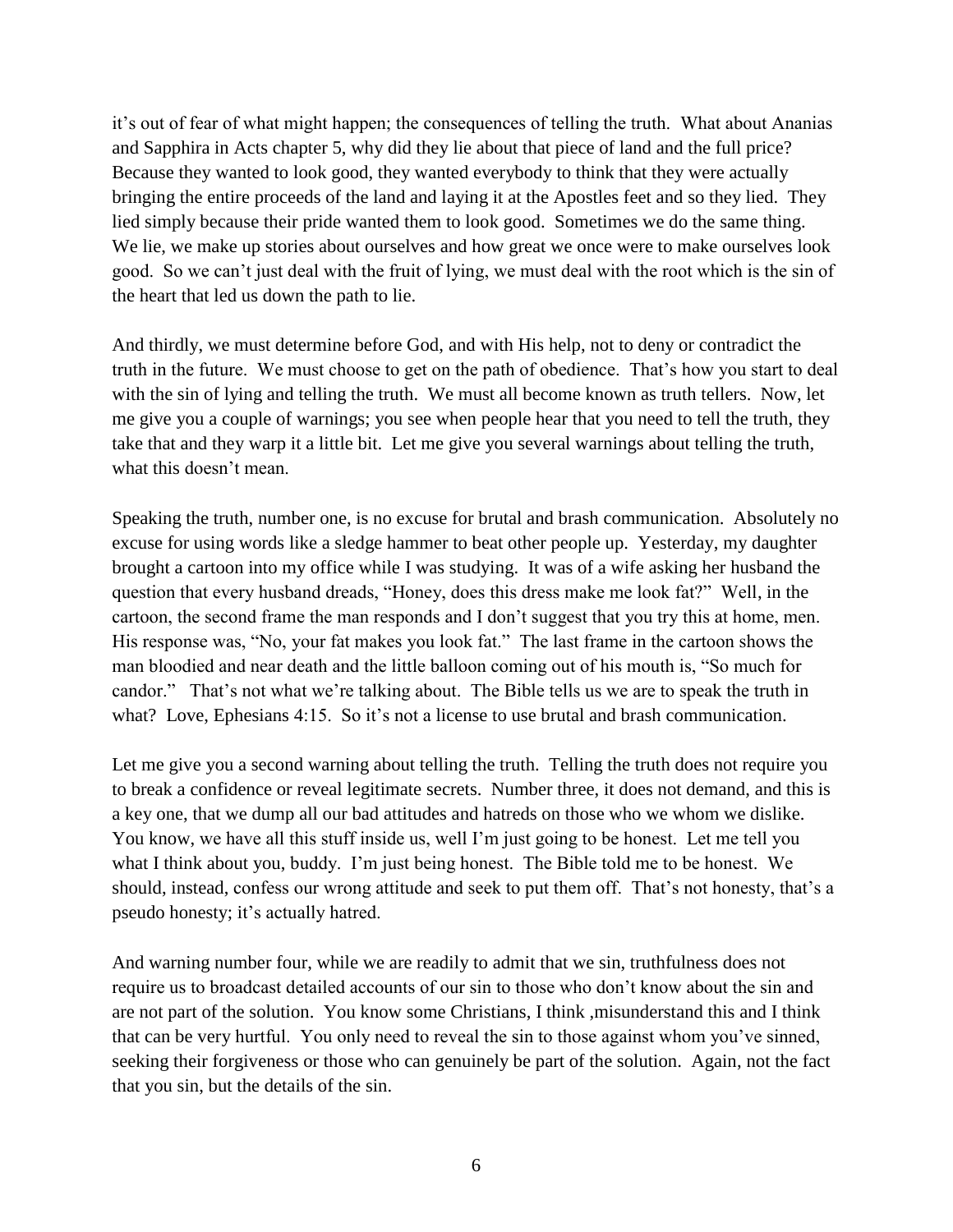it's out of fear of what might happen; the consequences of telling the truth. What about Ananias and Sapphira in Acts chapter 5, why did they lie about that piece of land and the full price? Because they wanted to look good, they wanted everybody to think that they were actually bringing the entire proceeds of the land and laying it at the Apostles feet and so they lied. They lied simply because their pride wanted them to look good. Sometimes we do the same thing. We lie, we make up stories about ourselves and how great we once were to make ourselves look good. So we can't just deal with the fruit of lying, we must deal with the root which is the sin of the heart that led us down the path to lie.

And thirdly, we must determine before God, and with His help, not to deny or contradict the truth in the future. We must choose to get on the path of obedience. That's how you start to deal with the sin of lying and telling the truth. We must all become known as truth tellers. Now, let me give you a couple of warnings; you see when people hear that you need to tell the truth, they take that and they warp it a little bit. Let me give you several warnings about telling the truth, what this doesn't mean.

Speaking the truth, number one, is no excuse for brutal and brash communication. Absolutely no excuse for using words like a sledge hammer to beat other people up. Yesterday, my daughter brought a cartoon into my office while I was studying. It was of a wife asking her husband the question that every husband dreads, "Honey, does this dress make me look fat?" Well, in the cartoon, the second frame the man responds and I don't suggest that you try this at home, men. His response was, "No, your fat makes you look fat." The last frame in the cartoon shows the man bloodied and near death and the little balloon coming out of his mouth is, "So much for candor." That's not what we're talking about. The Bible tells us we are to speak the truth in what? Love, Ephesians 4:15. So it's not a license to use brutal and brash communication.

Let me give you a second warning about telling the truth. Telling the truth does not require you to break a confidence or reveal legitimate secrets. Number three, it does not demand, and this is a key one, that we dump all our bad attitudes and hatreds on those who we whom we dislike. You know, we have all this stuff inside us, well I'm just going to be honest. Let me tell you what I think about you, buddy. I'm just being honest. The Bible told me to be honest. We should, instead, confess our wrong attitude and seek to put them off. That's not honesty, that's a pseudo honesty; it's actually hatred.

And warning number four, while we are readily to admit that we sin, truthfulness does not require us to broadcast detailed accounts of our sin to those who don't know about the sin and are not part of the solution. You know some Christians, I think ,misunderstand this and I think that can be very hurtful. You only need to reveal the sin to those against whom you've sinned, seeking their forgiveness or those who can genuinely be part of the solution. Again, not the fact that you sin, but the details of the sin.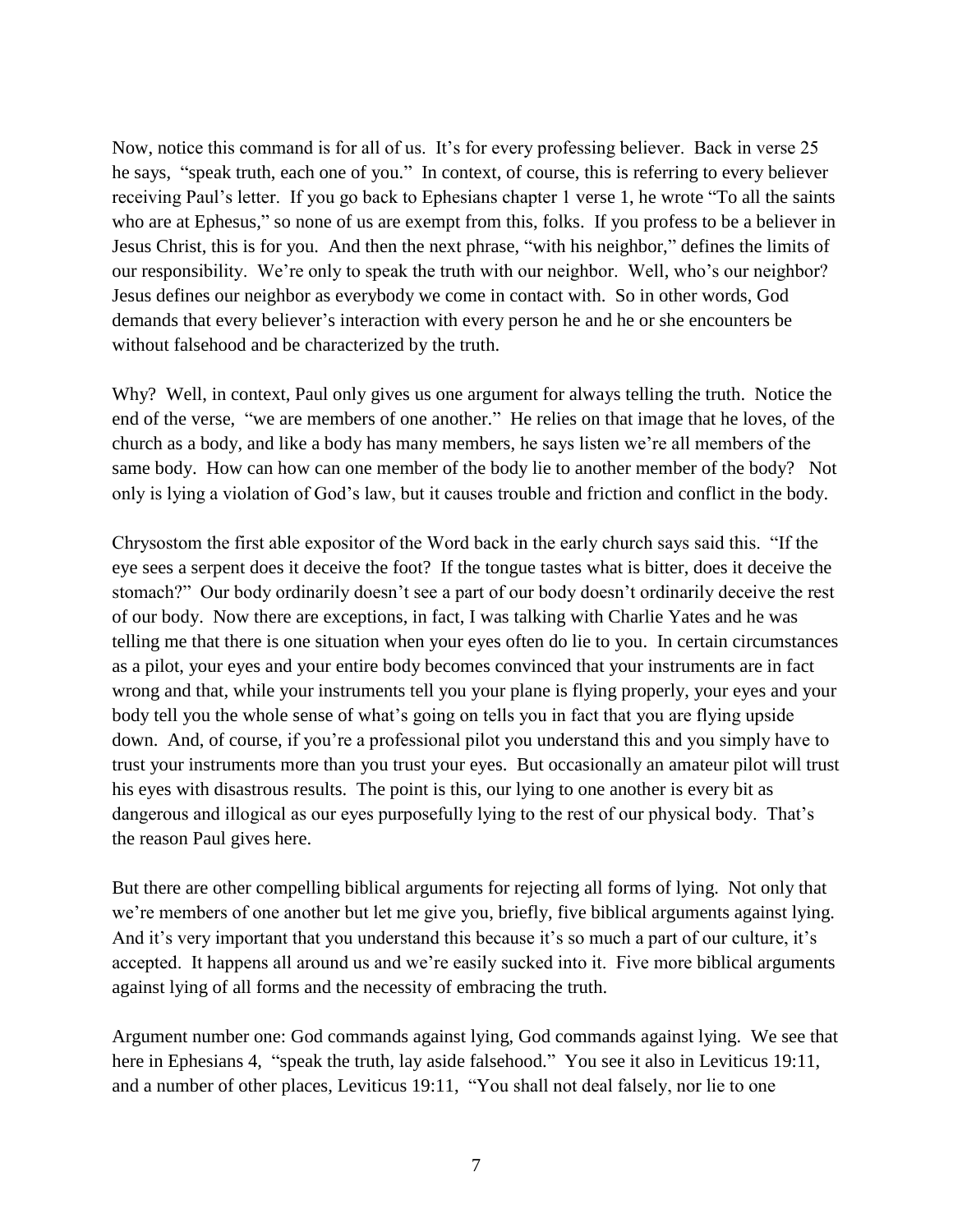Now, notice this command is for all of us. It's for every professing believer. Back in verse 25 he says, "speak truth, each one of you." In context, of course, this is referring to every believer receiving Paul's letter. If you go back to Ephesians chapter 1 verse 1, he wrote "To all the saints who are at Ephesus," so none of us are exempt from this, folks. If you profess to be a believer in Jesus Christ, this is for you. And then the next phrase, "with his neighbor," defines the limits of our responsibility. We're only to speak the truth with our neighbor. Well, who's our neighbor? Jesus defines our neighbor as everybody we come in contact with. So in other words, God demands that every believer's interaction with every person he and he or she encounters be without falsehood and be characterized by the truth.

Why? Well, in context, Paul only gives us one argument for always telling the truth. Notice the end of the verse, "we are members of one another." He relies on that image that he loves, of the church as a body, and like a body has many members, he says listen we're all members of the same body. How can how can one member of the body lie to another member of the body? Not only is lying a violation of God's law, but it causes trouble and friction and conflict in the body.

Chrysostom the first able expositor of the Word back in the early church says said this. "If the eye sees a serpent does it deceive the foot? If the tongue tastes what is bitter, does it deceive the stomach?" Our body ordinarily doesn't see a part of our body doesn't ordinarily deceive the rest of our body. Now there are exceptions, in fact, I was talking with Charlie Yates and he was telling me that there is one situation when your eyes often do lie to you. In certain circumstances as a pilot, your eyes and your entire body becomes convinced that your instruments are in fact wrong and that, while your instruments tell you your plane is flying properly, your eyes and your body tell you the whole sense of what's going on tells you in fact that you are flying upside down. And, of course, if you're a professional pilot you understand this and you simply have to trust your instruments more than you trust your eyes. But occasionally an amateur pilot will trust his eyes with disastrous results. The point is this, our lying to one another is every bit as dangerous and illogical as our eyes purposefully lying to the rest of our physical body. That's the reason Paul gives here.

But there are other compelling biblical arguments for rejecting all forms of lying. Not only that we're members of one another but let me give you, briefly, five biblical arguments against lying. And it's very important that you understand this because it's so much a part of our culture, it's accepted. It happens all around us and we're easily sucked into it. Five more biblical arguments against lying of all forms and the necessity of embracing the truth.

Argument number one: God commands against lying, God commands against lying. We see that here in Ephesians 4, "speak the truth, lay aside falsehood." You see it also in Leviticus 19:11, and a number of other places, Leviticus 19:11, "You shall not deal falsely, nor lie to one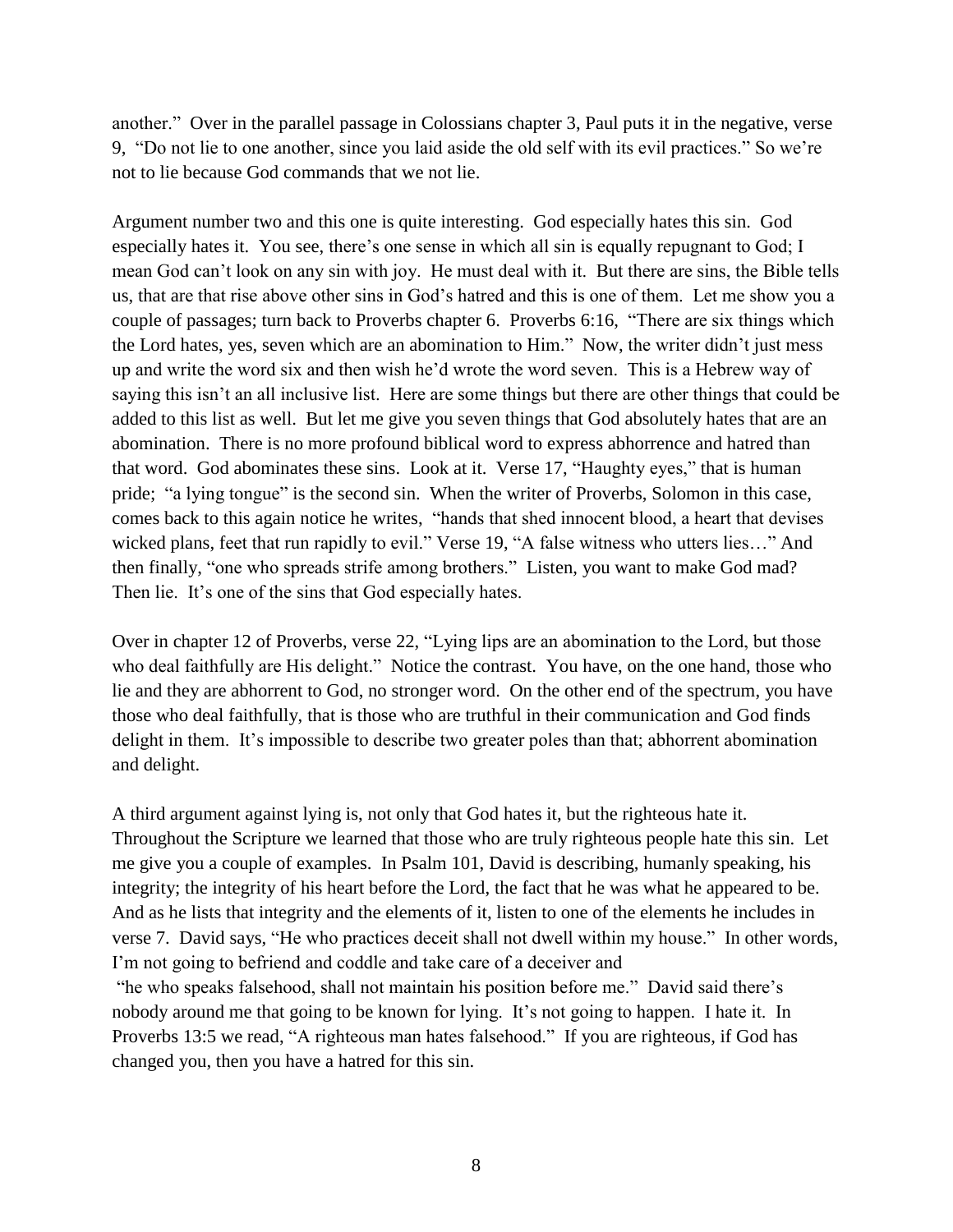another." Over in the parallel passage in Colossians chapter 3, Paul puts it in the negative, verse 9, "Do not lie to one another, since you laid aside the old self with its evil practices." So we're not to lie because God commands that we not lie.

Argument number two and this one is quite interesting. God especially hates this sin. God especially hates it. You see, there's one sense in which all sin is equally repugnant to God; I mean God can't look on any sin with joy. He must deal with it. But there are sins, the Bible tells us, that are that rise above other sins in God's hatred and this is one of them. Let me show you a couple of passages; turn back to Proverbs chapter 6. Proverbs 6:16, "There are six things which the Lord hates, yes, seven which are an abomination to Him." Now, the writer didn't just mess up and write the word six and then wish he'd wrote the word seven. This is a Hebrew way of saying this isn't an all inclusive list. Here are some things but there are other things that could be added to this list as well. But let me give you seven things that God absolutely hates that are an abomination. There is no more profound biblical word to express abhorrence and hatred than that word. God abominates these sins. Look at it. Verse 17, "Haughty eyes," that is human pride; "a lying tongue" is the second sin. When the writer of Proverbs, Solomon in this case, comes back to this again notice he writes, "hands that shed innocent blood, a heart that devises wicked plans, feet that run rapidly to evil." Verse 19, "A false witness who utters lies..." And then finally, "one who spreads strife among brothers." Listen, you want to make God mad? Then lie. It's one of the sins that God especially hates.

Over in chapter 12 of Proverbs, verse 22, "Lying lips are an abomination to the Lord, but those who deal faithfully are His delight." Notice the contrast. You have, on the one hand, those who lie and they are abhorrent to God, no stronger word. On the other end of the spectrum, you have those who deal faithfully, that is those who are truthful in their communication and God finds delight in them. It's impossible to describe two greater poles than that; abhorrent abomination and delight.

A third argument against lying is, not only that God hates it, but the righteous hate it. Throughout the Scripture we learned that those who are truly righteous people hate this sin. Let me give you a couple of examples. In Psalm 101, David is describing, humanly speaking, his integrity; the integrity of his heart before the Lord, the fact that he was what he appeared to be. And as he lists that integrity and the elements of it, listen to one of the elements he includes in verse 7. David says, "He who practices deceit shall not dwell within my house." In other words, I'm not going to befriend and coddle and take care of a deceiver and

"he who speaks falsehood, shall not maintain his position before me." David said there's nobody around me that going to be known for lying. It's not going to happen. I hate it. In Proverbs 13:5 we read, "A righteous man hates falsehood." If you are righteous, if God has changed you, then you have a hatred for this sin.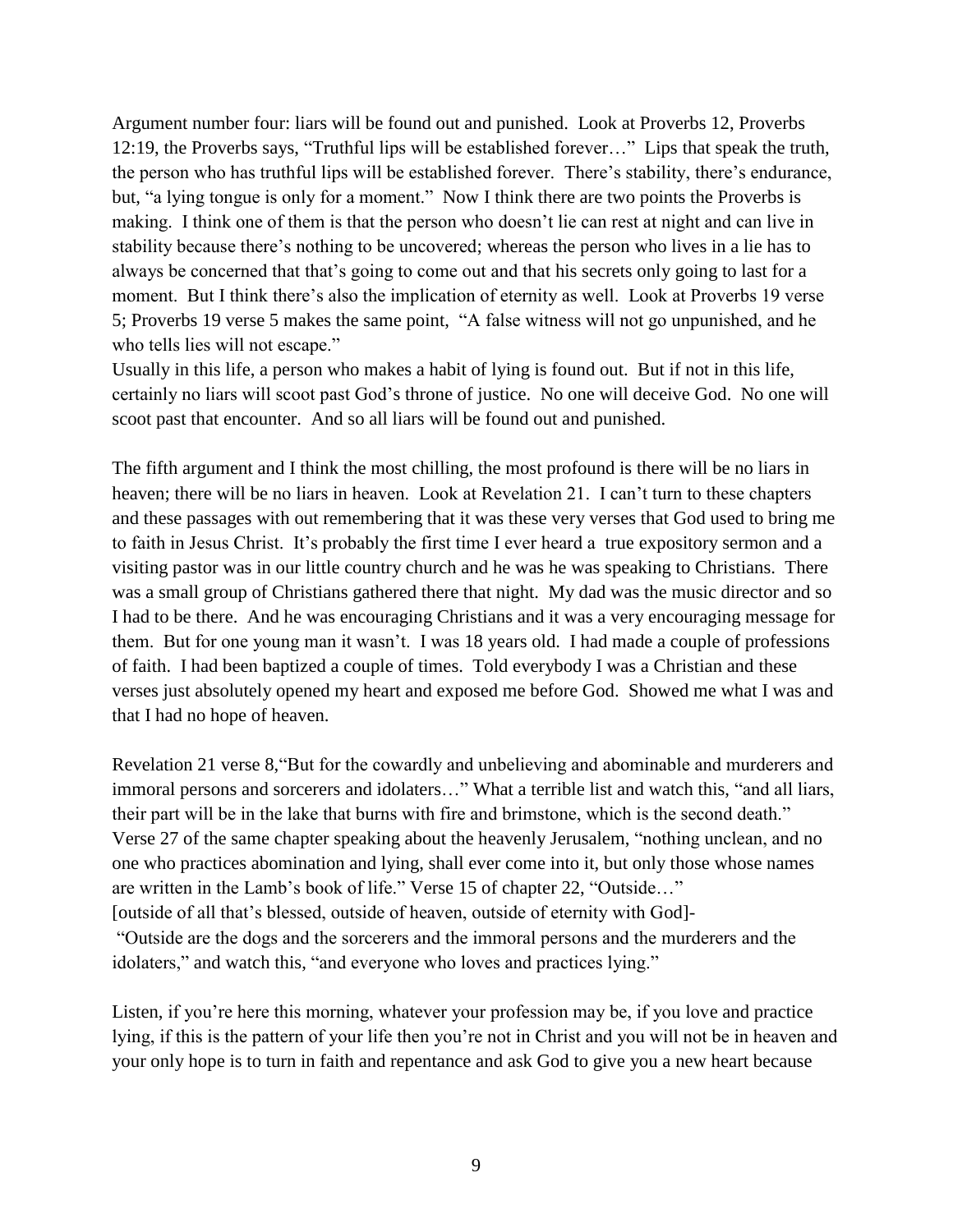Argument number four: liars will be found out and punished. Look at Proverbs 12, Proverbs 12:19, the Proverbs says, "Truthful lips will be established forever…" Lips that speak the truth, the person who has truthful lips will be established forever. There's stability, there's endurance, but, "a lying tongue is only for a moment." Now I think there are two points the Proverbs is making. I think one of them is that the person who doesn't lie can rest at night and can live in stability because there's nothing to be uncovered; whereas the person who lives in a lie has to always be concerned that that's going to come out and that his secrets only going to last for a moment. But I think there's also the implication of eternity as well. Look at Proverbs 19 verse 5; Proverbs 19 verse 5 makes the same point, "A false witness will not go unpunished, and he who tells lies will not escape."

Usually in this life, a person who makes a habit of lying is found out. But if not in this life, certainly no liars will scoot past God's throne of justice. No one will deceive God. No one will scoot past that encounter. And so all liars will be found out and punished.

The fifth argument and I think the most chilling, the most profound is there will be no liars in heaven; there will be no liars in heaven. Look at Revelation 21. I can't turn to these chapters and these passages with out remembering that it was these very verses that God used to bring me to faith in Jesus Christ. It's probably the first time I ever heard a true expository sermon and a visiting pastor was in our little country church and he was he was speaking to Christians. There was a small group of Christians gathered there that night. My dad was the music director and so I had to be there. And he was encouraging Christians and it was a very encouraging message for them. But for one young man it wasn't. I was 18 years old. I had made a couple of professions of faith. I had been baptized a couple of times. Told everybody I was a Christian and these verses just absolutely opened my heart and exposed me before God. Showed me what I was and that I had no hope of heaven.

Revelation 21 verse 8,"But for the cowardly and unbelieving and abominable and murderers and immoral persons and sorcerers and idolaters…" What a terrible list and watch this, "and all liars, their part will be in the lake that burns with fire and brimstone, which is the second death." Verse 27 of the same chapter speaking about the heavenly Jerusalem, "nothing unclean, and no one who practices abomination and lying, shall ever come into it, but only those whose names are written in the Lamb's book of life." Verse 15 of chapter 22, "Outside…" [outside of all that's blessed, outside of heaven, outside of eternity with God]- "Outside are the dogs and the sorcerers and the immoral persons and the murderers and the idolaters," and watch this, "and everyone who loves and practices lying."

Listen, if you're here this morning, whatever your profession may be, if you love and practice lying, if this is the pattern of your life then you're not in Christ and you will not be in heaven and your only hope is to turn in faith and repentance and ask God to give you a new heart because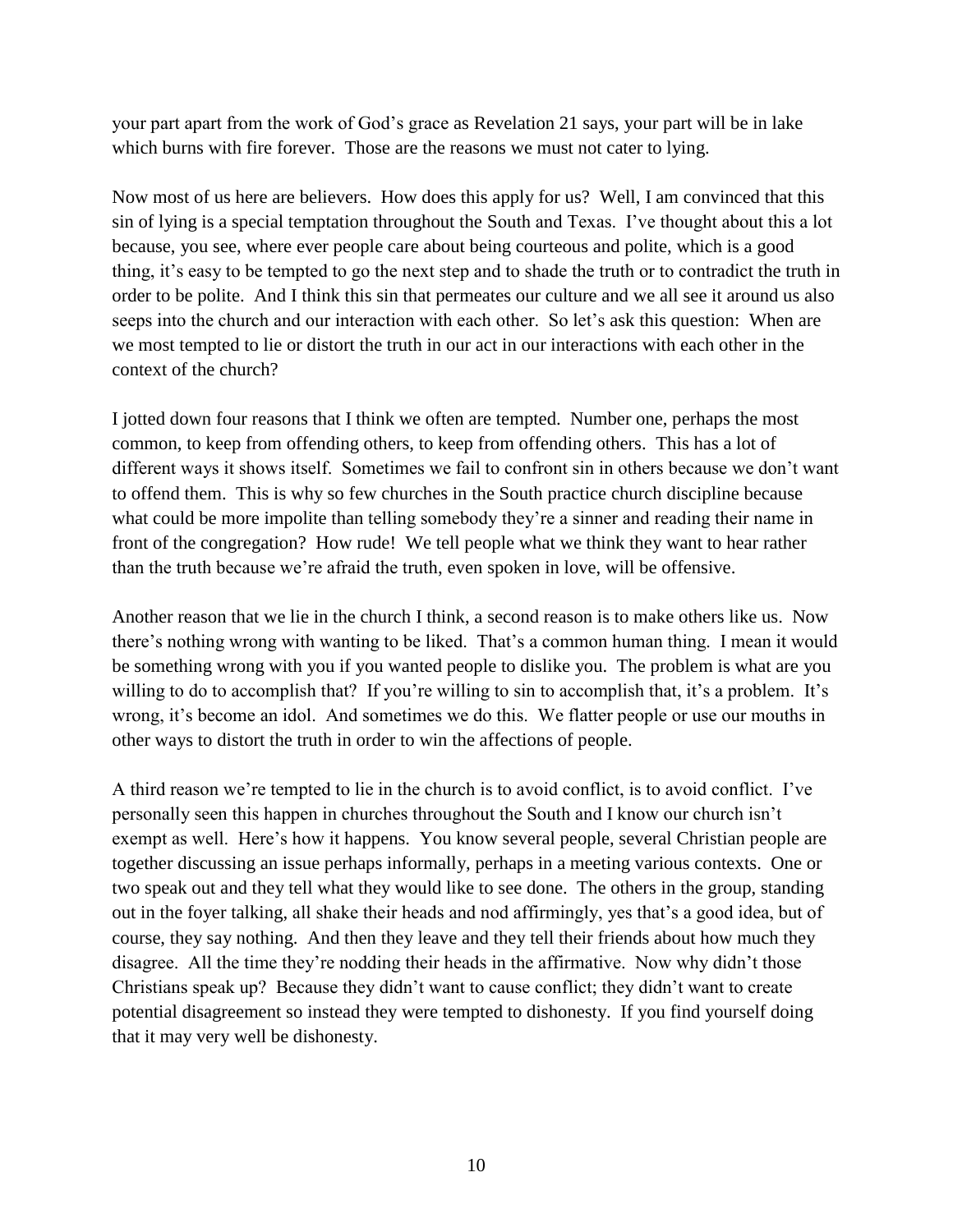your part apart from the work of God's grace as Revelation 21 says, your part will be in lake which burns with fire forever. Those are the reasons we must not cater to lying.

Now most of us here are believers. How does this apply for us? Well, I am convinced that this sin of lying is a special temptation throughout the South and Texas. I've thought about this a lot because, you see, where ever people care about being courteous and polite, which is a good thing, it's easy to be tempted to go the next step and to shade the truth or to contradict the truth in order to be polite. And I think this sin that permeates our culture and we all see it around us also seeps into the church and our interaction with each other. So let's ask this question: When are we most tempted to lie or distort the truth in our act in our interactions with each other in the context of the church?

I jotted down four reasons that I think we often are tempted. Number one, perhaps the most common, to keep from offending others, to keep from offending others. This has a lot of different ways it shows itself. Sometimes we fail to confront sin in others because we don't want to offend them. This is why so few churches in the South practice church discipline because what could be more impolite than telling somebody they're a sinner and reading their name in front of the congregation? How rude! We tell people what we think they want to hear rather than the truth because we're afraid the truth, even spoken in love, will be offensive.

Another reason that we lie in the church I think, a second reason is to make others like us. Now there's nothing wrong with wanting to be liked. That's a common human thing. I mean it would be something wrong with you if you wanted people to dislike you. The problem is what are you willing to do to accomplish that? If you're willing to sin to accomplish that, it's a problem. It's wrong, it's become an idol. And sometimes we do this. We flatter people or use our mouths in other ways to distort the truth in order to win the affections of people.

A third reason we're tempted to lie in the church is to avoid conflict, is to avoid conflict. I've personally seen this happen in churches throughout the South and I know our church isn't exempt as well. Here's how it happens. You know several people, several Christian people are together discussing an issue perhaps informally, perhaps in a meeting various contexts. One or two speak out and they tell what they would like to see done. The others in the group, standing out in the foyer talking, all shake their heads and nod affirmingly, yes that's a good idea, but of course, they say nothing. And then they leave and they tell their friends about how much they disagree. All the time they're nodding their heads in the affirmative. Now why didn't those Christians speak up? Because they didn't want to cause conflict; they didn't want to create potential disagreement so instead they were tempted to dishonesty. If you find yourself doing that it may very well be dishonesty.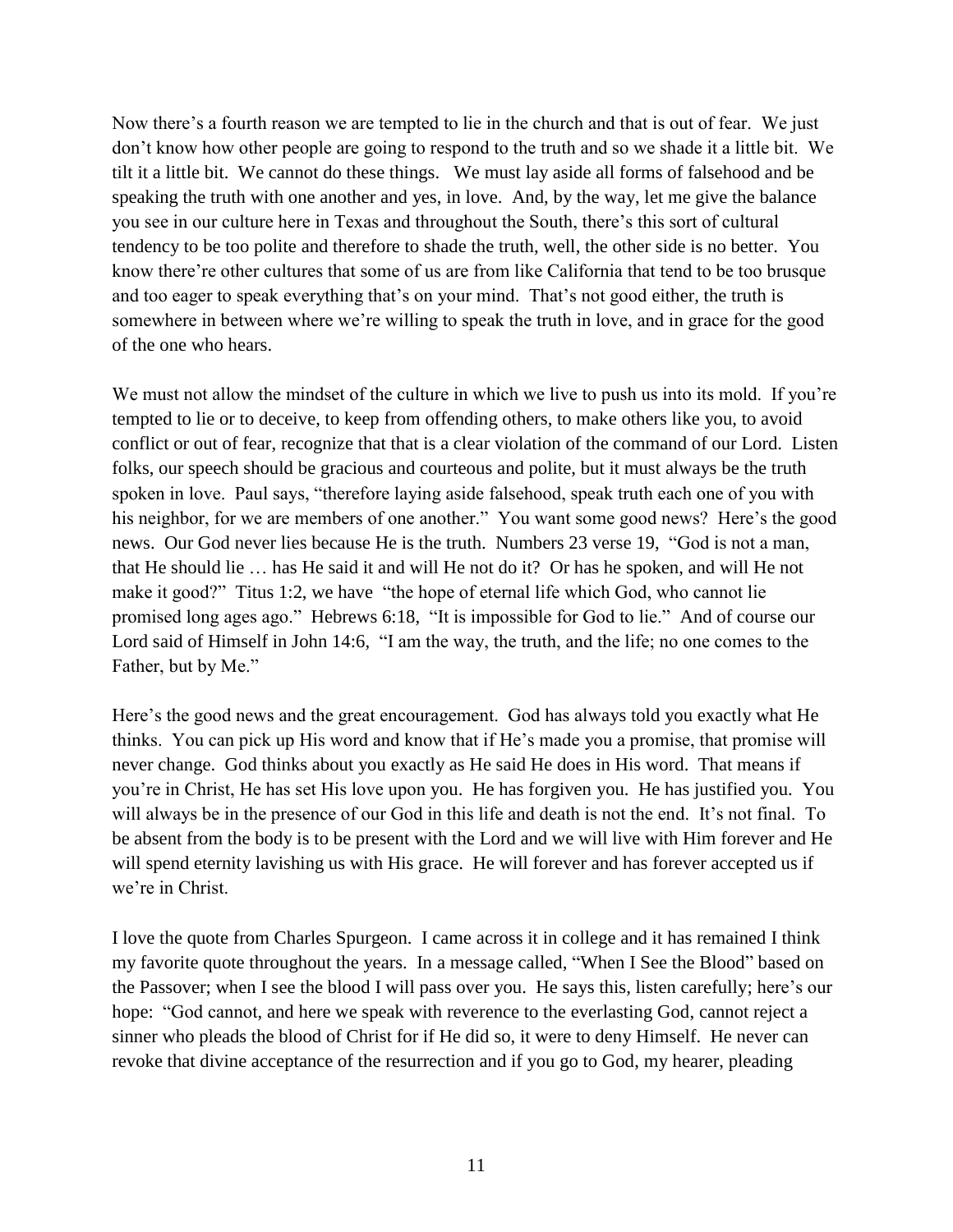Now there's a fourth reason we are tempted to lie in the church and that is out of fear. We just don't know how other people are going to respond to the truth and so we shade it a little bit. We tilt it a little bit. We cannot do these things. We must lay aside all forms of falsehood and be speaking the truth with one another and yes, in love. And, by the way, let me give the balance you see in our culture here in Texas and throughout the South, there's this sort of cultural tendency to be too polite and therefore to shade the truth, well, the other side is no better. You know there're other cultures that some of us are from like California that tend to be too brusque and too eager to speak everything that's on your mind. That's not good either, the truth is somewhere in between where we're willing to speak the truth in love, and in grace for the good of the one who hears.

We must not allow the mindset of the culture in which we live to push us into its mold. If you're tempted to lie or to deceive, to keep from offending others, to make others like you, to avoid conflict or out of fear, recognize that that is a clear violation of the command of our Lord. Listen folks, our speech should be gracious and courteous and polite, but it must always be the truth spoken in love. Paul says, "therefore laying aside falsehood, speak truth each one of you with his neighbor, for we are members of one another." You want some good news? Here's the good news. Our God never lies because He is the truth. Numbers 23 verse 19, "God is not a man, that He should lie … has He said it and will He not do it? Or has he spoken, and will He not make it good?" Titus 1:2, we have "the hope of eternal life which God, who cannot lie promised long ages ago." Hebrews 6:18, "It is impossible for God to lie." And of course our Lord said of Himself in John 14:6, "I am the way, the truth, and the life; no one comes to the Father, but by Me."

Here's the good news and the great encouragement. God has always told you exactly what He thinks. You can pick up His word and know that if He's made you a promise, that promise will never change. God thinks about you exactly as He said He does in His word. That means if you're in Christ, He has set His love upon you. He has forgiven you. He has justified you. You will always be in the presence of our God in this life and death is not the end. It's not final. To be absent from the body is to be present with the Lord and we will live with Him forever and He will spend eternity lavishing us with His grace. He will forever and has forever accepted us if we're in Christ.

I love the quote from Charles Spurgeon. I came across it in college and it has remained I think my favorite quote throughout the years. In a message called, "When I See the Blood" based on the Passover; when I see the blood I will pass over you. He says this, listen carefully; here's our hope: "God cannot, and here we speak with reverence to the everlasting God, cannot reject a sinner who pleads the blood of Christ for if He did so, it were to deny Himself. He never can revoke that divine acceptance of the resurrection and if you go to God, my hearer, pleading